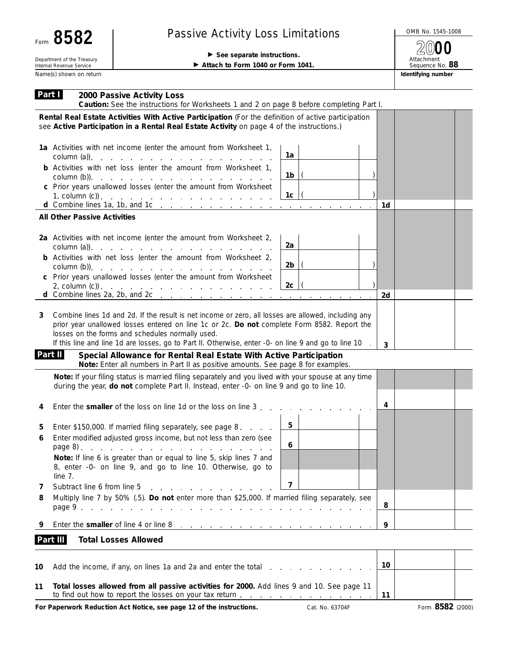| 582<br>Form                                            |  |  |  |  |  |
|--------------------------------------------------------|--|--|--|--|--|
| Department of the Treasury<br>Internal Revenue Service |  |  |  |  |  |
| Name(s) shown on return                                |  |  |  |  |  |

## Passive Activity Loss Limitations And Allowski Activity Loss Limitations

## See separate instructions.

Attach to Form 1040 or Form 1041.

Attachment Sequence No. **88 Identifying number 2000**

| Part I<br>2000 Passive Activity Loss<br>Caution: See the instructions for Worksheets 1 and 2 on page 8 before completing Part I.                                                                                                                                                                                                                                                                                                                                                                                                         |    |
|------------------------------------------------------------------------------------------------------------------------------------------------------------------------------------------------------------------------------------------------------------------------------------------------------------------------------------------------------------------------------------------------------------------------------------------------------------------------------------------------------------------------------------------|----|
| Rental Real Estate Activities With Active Participation (For the definition of active participation<br>see Active Participation in a Rental Real Estate Activity on page 4 of the instructions.)                                                                                                                                                                                                                                                                                                                                         |    |
| 1a Activities with net income (enter the amount from Worksheet 1,<br>1a<br>column (a)).<br>and a series of the contract of the contract of the contract of                                                                                                                                                                                                                                                                                                                                                                               |    |
| <b>b</b> Activities with net loss (enter the amount from Worksheet 1,<br>1b                                                                                                                                                                                                                                                                                                                                                                                                                                                              |    |
| c Prior years unallowed losses (enter the amount from Worksheet<br>1 <sub>c</sub><br>1, column (c)). $\cdots$ $\cdots$ $\cdots$ $\cdots$ $\cdots$ $\cdots$ $\cdots$ $\cdots$                                                                                                                                                                                                                                                                                                                                                             | 1d |
| <b>All Other Passive Activities</b>                                                                                                                                                                                                                                                                                                                                                                                                                                                                                                      |    |
| 2a Activities with net income (enter the amount from Worksheet 2,<br>2a<br>column (a)).<br>the contract of the contract of the contract of the contract of                                                                                                                                                                                                                                                                                                                                                                               |    |
| <b>b</b> Activities with net loss (enter the amount from Worksheet 2,<br>2b<br>column (b)). $\qquad \qquad \ldots \qquad \qquad \ldots \qquad \ldots \qquad \ldots \qquad \ldots \qquad \ldots$                                                                                                                                                                                                                                                                                                                                          |    |
| c Prior years unallowed losses (enter the amount from Worksheet<br>2c<br>2, column $(c)$ ).<br>d Combine lines 2a, 2b, and 2c $\ldots$ $\ldots$ $\ldots$ $\ldots$ $\ldots$ $\ldots$ $\ldots$                                                                                                                                                                                                                                                                                                                                             | 2d |
| Combine lines 1d and 2d. If the result is net income or zero, all losses are allowed, including any<br>3<br>prior year unallowed losses entered on line 1c or 2c. Do not complete Form 8582. Report the<br>losses on the forms and schedules normally used.<br>If this line and line 1d are losses, go to Part II. Otherwise, enter -0- on line 9 and go to line 10<br>Part II<br>Special Allowance for Rental Real Estate With Active Participation<br>Note: Enter all numbers in Part II as positive amounts. See page 8 for examples. | 3  |
| Note: If your filing status is married filing separately and you lived with your spouse at any time<br>during the year, do not complete Part II. Instead, enter -0- on line 9 and go to line 10.                                                                                                                                                                                                                                                                                                                                         |    |
| Enter the smaller of the loss on line 1d or the loss on line 3.<br>4                                                                                                                                                                                                                                                                                                                                                                                                                                                                     | 4  |
| 5<br>Enter \$150,000. If married filing separately, see page 8.<br>5<br>Enter modified adjusted gross income, but not less than zero (see<br>6<br>6<br>Note: If line 6 is greater than or equal to line 5, skip lines 7 and<br>8, enter -0- on line 9, and go to line 10. Otherwise, go to<br>line 7.                                                                                                                                                                                                                                    |    |
| $\overline{\mathbf{z}}$<br>Subtract line 6 from line 5<br>7<br>and a state of the state of the<br>Multiply line 7 by 50% (.5). Do not enter more than \$25,000. If married filing separately, see<br>8                                                                                                                                                                                                                                                                                                                                   | 8  |
| Enter the smaller of line 4 or line 8<br>9<br>the contract of the contract of the contract of                                                                                                                                                                                                                                                                                                                                                                                                                                            | 9  |
| Part III<br><b>Total Losses Allowed</b>                                                                                                                                                                                                                                                                                                                                                                                                                                                                                                  |    |
| 10<br>Add the income, if any, on lines 1a and 2a and enter the total                                                                                                                                                                                                                                                                                                                                                                                                                                                                     | 10 |

**Total losses allowed from all passive activities for 2000.** Add lines 9 and 10. See page 11 **11** to find out how to report the losses on your tax return . . . . **11 Contract Contract** 

**For Paperwork Reduction Act Notice, see page 12 of the instructions.** Cat. No. 63704F Form 8582 (2000)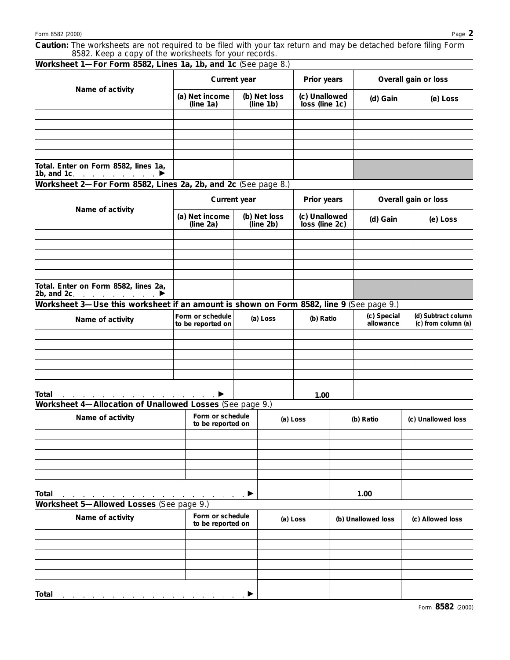**Caution:** *The worksheets are not required to be filed with your tax return and may be detached before filing Form 8582. Keep a copy of the worksheets for your records.*

| Worksheet 1-For Form 8582, Lines 1a, 1b, and 1c (See page 8.)                            |                                                   |                                       |                           |                                 |  |                          |  |                                            |  |
|------------------------------------------------------------------------------------------|---------------------------------------------------|---------------------------------------|---------------------------|---------------------------------|--|--------------------------|--|--------------------------------------------|--|
|                                                                                          | Current year                                      |                                       |                           | Prior years                     |  | Overall gain or loss     |  |                                            |  |
| Name of activity                                                                         | (a) Net income<br>(line 1a)                       | (b) Net loss<br>(line 1b)             |                           | (c) Unallowed<br>loss (line 1c) |  | (d) Gain                 |  | (e) Loss                                   |  |
|                                                                                          |                                                   |                                       |                           |                                 |  |                          |  |                                            |  |
|                                                                                          |                                                   |                                       |                           |                                 |  |                          |  |                                            |  |
|                                                                                          |                                                   |                                       |                           |                                 |  |                          |  |                                            |  |
|                                                                                          |                                                   |                                       |                           |                                 |  |                          |  |                                            |  |
| Total. Enter on Form 8582, lines 1a,<br>1b, and 1c. $\qquad \qquad \blacksquare$         |                                                   |                                       |                           |                                 |  |                          |  |                                            |  |
| Worksheet 2-For Form 8582, Lines 2a, 2b, and 2c (See page 8.)                            |                                                   |                                       |                           |                                 |  |                          |  |                                            |  |
|                                                                                          | Current year                                      |                                       | Prior years               |                                 |  | Overall gain or loss     |  |                                            |  |
| Name of activity                                                                         | (a) Net income<br>(line 2a)                       |                                       | (b) Net loss<br>(line 2b) | (c) Unallowed<br>loss (line 2c) |  | (d) Gain                 |  | (e) Loss                                   |  |
|                                                                                          |                                                   |                                       |                           |                                 |  |                          |  |                                            |  |
|                                                                                          |                                                   |                                       |                           |                                 |  |                          |  |                                            |  |
|                                                                                          |                                                   |                                       |                           |                                 |  |                          |  |                                            |  |
|                                                                                          |                                                   |                                       |                           |                                 |  |                          |  |                                            |  |
| Total. Enter on Form 8582, lines 2a,<br>2b, and 2c. $\blacksquare$ $\blacktriangleright$ |                                                   |                                       |                           |                                 |  |                          |  |                                            |  |
| Worksheet 3—Use this worksheet if an amount is shown on Form 8582, line 9 (See page 9.)  |                                                   |                                       |                           |                                 |  |                          |  |                                            |  |
| Name of activity                                                                         | Form or schedule<br>(a) Loss<br>to be reported on |                                       |                           | (b) Ratio                       |  | (c) Special<br>allowance |  | (d) Subtract column<br>(c) from column (a) |  |
|                                                                                          |                                                   |                                       |                           |                                 |  |                          |  |                                            |  |
|                                                                                          |                                                   |                                       |                           |                                 |  |                          |  |                                            |  |
|                                                                                          |                                                   |                                       |                           |                                 |  |                          |  |                                            |  |
|                                                                                          |                                                   |                                       |                           |                                 |  |                          |  |                                            |  |
|                                                                                          |                                                   |                                       |                           |                                 |  |                          |  |                                            |  |
| Total                                                                                    |                                                   |                                       |                           | 1.00                            |  |                          |  |                                            |  |
| Worksheet 4-Allocation of Unallowed Losses (See page 9.)                                 |                                                   |                                       |                           |                                 |  |                          |  |                                            |  |
| Name of activity                                                                         |                                                   | Form or schedule<br>to be reported on |                           | (a) Loss                        |  | (b) Ratio                |  | (c) Unallowed loss                         |  |
|                                                                                          |                                                   |                                       |                           |                                 |  |                          |  |                                            |  |
|                                                                                          |                                                   |                                       |                           |                                 |  |                          |  |                                            |  |
|                                                                                          |                                                   |                                       |                           |                                 |  |                          |  |                                            |  |
|                                                                                          |                                                   |                                       |                           |                                 |  |                          |  |                                            |  |
|                                                                                          |                                                   |                                       |                           |                                 |  |                          |  |                                            |  |
|                                                                                          |                                                   |                                       |                           |                                 |  |                          |  |                                            |  |
| Total<br>Worksheet 5-Allowed Losses (See page 9.)                                        | <u>n a s</u> a sa sa k⊁                           |                                       |                           |                                 |  | 1.00                     |  |                                            |  |
| Name of activity                                                                         |                                                   | Form or schedule<br>to be reported on |                           | (a) Loss                        |  | (b) Unallowed loss       |  | (c) Allowed loss                           |  |
|                                                                                          |                                                   |                                       |                           |                                 |  |                          |  |                                            |  |
|                                                                                          |                                                   |                                       |                           |                                 |  |                          |  |                                            |  |
|                                                                                          |                                                   |                                       |                           |                                 |  |                          |  |                                            |  |
|                                                                                          |                                                   |                                       |                           |                                 |  |                          |  |                                            |  |
|                                                                                          |                                                   |                                       |                           |                                 |  |                          |  |                                            |  |
| Total                                                                                    |                                                   |                                       |                           |                                 |  |                          |  |                                            |  |

Form **8582** (2000)